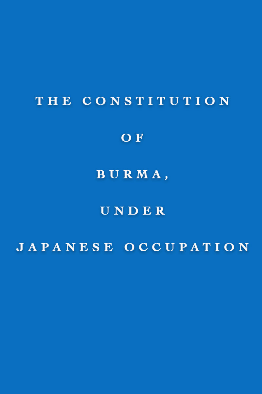# THE CONSTITUTION

## OF

# BURMA,

## UNDER

# JAPANESE OCCUPATION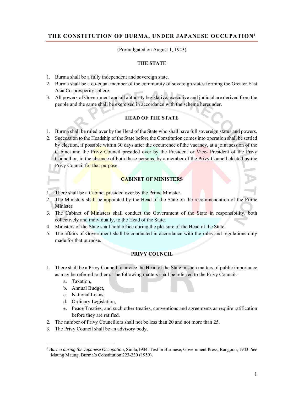## **THE CONSTITUTION OF BURMA, UNDER JAPANESE OCCUPATION1**

(Promulgated on August 1, 1943)

#### **THE STATE**

- 1. Burma shall be a fully independent and sovereign state.
- 2. Burma shall be a co-equal member of the community of sovereign states forming the Greater East Asia Co-prosperity sphere.
- 3. All powers of Government and all authority legislative, executive and judicial are derived from the people and the same shall be exercised in accordance with the scheme hereunder.

## **HEAD OF THE STATE**

- 1. Burma shall be ruled over by the Head of the State who shall have full sovereign status and powers.
- 2. Succession to the Headship of the State before the Constitution comes into operation shall be settled by election, if possible within 30 days after the occurrence of the vacancy, at a joint session of the Cabinet and the Privy Council presided over by the President or Vice- President of the Privy Council or, in the absence of both these persons, by a member of the Privy Council elected by the Privy Council for that purpose.

## **CABINET OF MINISTERS**

- 1. There shall be a Cabinet presided over by the Prime Minister.
- 2. The Ministers shall be appointed by the Head of the State on the recommendation of the Prime Minister.
- 3. The Cabinet of Ministers shall conduct the Government of the State in responsibility, both collectively and individually, to the Head of the State.
- 4. Ministers of the State shall hold office during the pleasure of the Head of the State.
- 5. The affairs of Government shall be conducted in accordance with the rules and regulations duly made for that purpose.

#### **PRIVY COUNCIL**

- 1. There shall be a Privy Council to advice the Head of the State in such matters of public importance as may be referred to them. The following matters shall be referred to the Privy Council:
	- a. Taxation,

 $\overline{a}$ 

- b. Annual Budget,
- c. National Loans,
- d. Ordinary Legislation,
- e. Peace Treaties, and such other treaties, conventions and agreements as require ratification before they are ratified.
- 2. The number of Privy Councillors shall not be less than 20 and not more than 25.
- 3. The Privy Council shall be an advisory body.

<sup>1</sup> *Burma during the Japanese Occupation,* Simla,1944. Text in Burmese, Government Press, Rangoon, 1943. *See*  Maung Maung, Burma's Constitution 223-230 (1959).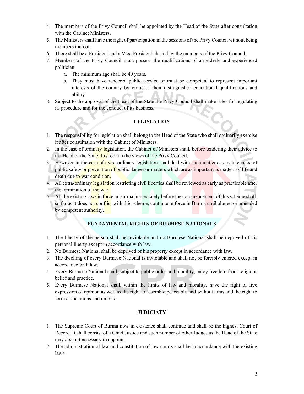- 4. The members of the Privy Council shall be appointed by the Head of the State after consultation with the Cabinet Ministers.
- 5. The Ministers shall have the right of participation in the sessions of the Privy Council without being members thereof.
- 6. There shall be a President and a Vice-President elected by the members of the Privy Council.
- 7. Members of the Privy Council must possess the qualifications of an elderly and experienced politician.
	- a. The minimum age shall be 40 years.
	- b. They must have rendered public service or must be competent to represent important interests of the country by virtue of their distinguished educational qualifications and ability.
- 8. Subject to the approval of the Head of the State the Privy Council shall make rules for regulating its procedure and for the conduct of its business.

## **LEGISLATION**

- 1. The responsibility for legislation shall belong to the Head of the State who shall ordinarily exercise it after consultation with the Cabinet of Ministers.
- 2. In the case of ordinary legislation, the Cabinet of Ministers shall, before tendering their advice to the Head of the State, first obtain the views of the Privy Council.
- 3. However in the case of extra-ordinary legislation shall deal with such matters as maintenance of public safety or prevention of public danger or matters which are as important as matters of life and death due to war condition.
- 4. All extra-ordinary legislation restricting civil liberties shall be reviewed as early as practicable after the termination of the war.
- 5. All the existing laws in force in Burma immediately before the commencement of this scheme shall, so far as it does not conflict with this scheme, continue in force in Burma until altered or amended by competent authority.

## **FUNDAMENTAL RIGHTS OF BURMESE NATIONALS**

- 1. The liberty of the person shall be inviolable and no Burmese National shall be deprived of his personal liberty except in accordance with law.
- 2. No Burmese National shall be deprived of his property except in accordance with law.
- 3. The dwelling of every Burmese National is inviolable and shall not be forcibly entered except in accordance with law.
- 4. Every Burmese National shall, subject to public order and morality, enjoy freedom from religious belief and practice.
- 5. Every Burmese National shall, within the limits of law and morality, have the right of free expression of opinion as well as the right to assemble peaceably and without arms and the right to form associations and unions.

## **JUDICIATY**

- 1. The Supreme Court of Burma now in existence shall continue and shall be the highest Court of Record. It shall consist of a Chief Justice and such number of other Judges as the Head of the State may deem it necessary to appoint.
- 2. The administration of law and constitution of law courts shall be in accordance with the existing laws.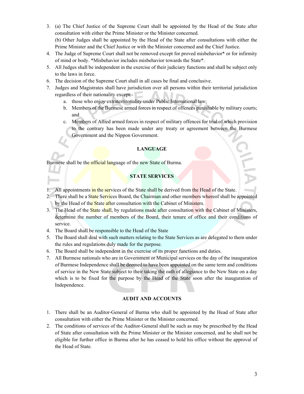- 3. (a) The Chief Justice of the Supreme Court shall be appointed by the Head of the State after consultation with either the Prime Minister or the Minister concerned. (b) Other Judges shall be appointed by the Head of the State after consultations with either the Prime Minister and the Chief Justice or with the Minister concerned and the Chief Justice.
- 4. The Judge of Supreme Court shall not be removed except for proved misbehavior\* or for infirmity of mind or body. \*Misbehavior includes misbehavior towards the State\*.
- 5. All Judges shall be independent in the exercise of their judiciary functions and shall be subject only to the laws in force.
- 6. The decision of the Supreme Court shall in all cases be final and conclusive.
- 7. Judges and Magistrates shall have jurisdiction over all persons within their territorial jurisdiction regardless of their nationality except:
	- a. those who enjoy extraterritoriality under Public International law;
	- b. Members of the Burmese armed forces in respect of offences punishable by military courts; and
	- c. Members of Allied armed forces in respect of military offences for trial of which provision to the contrary has been made under any treaty or agreement between the Burmese Government and the Nippon Government.

## **LANGUAGE**

Burmese shall be the official language of the new State of Burma.

## **STATE SERVICES**

- 1. All appointments in the services of the State shall be derived from the Head of the State.
- 2. There shall be a State Services Board, the Chairman and other members whereof shall be appointed by the Head of the State after consultation with the Cabinet of Ministers.
- 3. The Head of the State shall, by regulations made after consultation with the Cabinet of Ministers, determine the number of members of the Board, their tenure of office and their conditions of service.
- 4. The Board shall be responsible to the Head of the State
- 5. The Board shall deal with such matters relating to the State Services as are delegated to them under the rules and regulations duly made for the purpose.
- 6. The Board shall be independent in the exercise of its proper functions and duties.
- 7. All Burmese nationals who are in Government or Municipal services on the day of the inauguration of Burmese Independence shall be deemed to have been appointed on the same term and conditions of service in the New State subject to their taking the oath of allegiance to the New State on a day which is to be fixed for the purpose by the Head of the State soon after the inauguration of Independence.

## **AUDIT AND ACCOUNTS**

- 1. There shall be an Auditor-General of Burma who shall be appointed by the Head of State after consultation with either the Prime Minister or the Minister concerned.
- 2. The conditions of services of the Auditor-General shall be such as may be prescribed by the Head of State after consultation with the Prime Minister or the Minister concerned, and he shall not be eligible for further office in Burma after he has ceased to hold his office without the approval of the Head of State.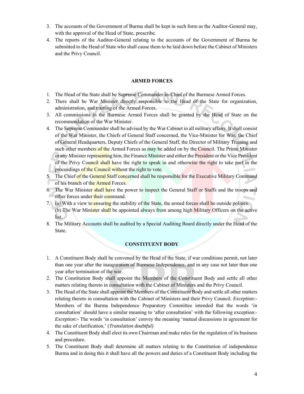- 3. The accounts of the Government of Burma shall be kept in such form as the Auditor-General may, with the approval of the Head of State, prescribe.
- 4. The reports of the Auditor-General relating to the accounts of the Government of Burma be submitted to the Head of State who shall cause them to be laid down before the Cabinet of Ministers and the Privy Council.

#### **ARMED FORCES**

- 1. The Head of the State shall be Supreme Commander-in-Chief of the Burmese Armed Forces.
- 2. There shall be War Minister directly responsible to the Head of the State for organization, administration, and training of the Armed Forces.
- 3. All commissions in the Burmese Armed Forces shall be granted by the Head of State on the recommendation of the War Minister.
- 4. The Supreme Commander shall be advised by the War Cabinet in all military affairs. It shall consist of the War Minister, the Chiefs of General Staff concerned, the Vice-Minister for War, the Chief of General Headquarters, Deputy Chiefs of the General Staff, the Director of Military Training and such other members of the Armed Forces as may be added on by the Council. The Prime Minister or any Minister representing him, the Finance Minister and either the President or the Vice President of the Privy Council shall have the right to speak in and otherwise the right to take part in the proceedings of the Council without the right to vote.
- 5. The Chief of the General Staff concerned shall be responsible for the Executive Military Command of his branch of the Armed Forces.
- 6. The War Minister shall have the power to inspect the General Staff or Staffs and the troops and other forces under their command.
- 7. (a) With a view to ensuring the stability of the State, the armed forces shall be outside politics. (b) The War Minister shall be appointed always from among high Military Officers on the active list.
- 8. The Military Accounts shall be audited by a Special Auditing Board directly under the Head of the State.

## **CONSTITUENT BODY**

- 1. A Constituent Body shall be convened by the Head of the State, if war conditions permit, not later than one year after the inauguration of Burmese Independence, and in any case not later than one year after termination of the war.
- 2. The Constitution Body shall appoint the Members of the Constituent Body and settle all other matters relating thereto in consultation with the Cabinet of Ministers and the Privy Council.
- 3. The Head of the State shall appoint the Members of the Constituent Body and settle all other matters relating thereto in consultation with the Cabinet of Ministers and their Privy Council. *Exception:-* Members of the Burma Independence Preparatory Committee intended that the words 'in consultation' should have a similar meaning to 'after consultation' with the following exception:- *Exception:-* The words 'in consultation' convey the meaning 'mutual discussions in agreement for the sake of clarification.' (*Translation doubtful)*
- 4. The Constituent Body shall elect its own Chairman and make rules for the regulation of its business and procedure.
- 5. The Constituent Body shall determine all matters relating to the Constitution of independence Burma and in doing this it shall have all the powers and duties of a Constituent Body including the